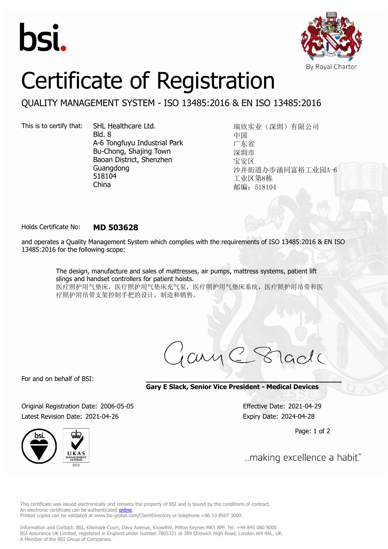



# Certificate of Registration

## QUALITY MANAGEMENT SYSTEM - ISO 13485:2016 & EN ISO 13485:2016

This is to certify that: SHL Healthcare Ltd.

Bld. 8 A-6 Tongfuyu Industrial Park Bu-Chong, Shajing Town Baoan District, Shenzhen Guangdong 518104 China

瑞欣实业(深圳)有限公司 中国 广东省 深圳市 宝安区 沙井街道办步涌同富裕工业园A-6 工业区第8栋 邮编:518104

### Holds Certificate No: **MD 503628**

and operates a Quality Management System which complies with the requirements of ISO 13485:2016 & EN ISO 13485:2016 for the following scope:

> The design, manufacture and sales of mattresses, air pumps, mattress systems, patient lift slings and handset controllers for patient hoists. 医疗照护用气垫床,医疗照护用气垫床充气泵,医疗照护用气垫床系统,医疗照护用吊带和医 疗照护用吊带支架控制手把的设计,制造和销售。

For and on behalf of BSI:

**Gary E Slack, Senior Vice President - Medical Devices**

Original Registration Date: 2006-05-05 Effective Date: 2021-04-29 Latest Revision Date: 2021-04-26 Expiry Date: 2024-04-28

Page: 1 of 2



... making excellence a habit."

This certificate was issued electronically and remains the property of BSI and is bound by the conditions of contract. An electronic certificate can be authenticated **[online](https://pgplus.bsigroup.com/CertificateValidation/CertificateValidator.aspx?CertificateNumber=MD+503628&ReIssueDate=26%2f04%2f2021&Template=cnen)**. Printed copies can be validated at www.bsi-global.com/ClientDirectory or telephone +86 10 8507 3000.

Information and Contact: BSI, Kitemark Court, Davy Avenue, Knowlhill, Milton Keynes MK5 8PP. Tel: +44 845 080 9000 BSI Assurance UK Limited, registered in England under number 7805321 at 389 Chiswick High Road, London W4 4AL, UK. A Member of the BSI Group of Companies.